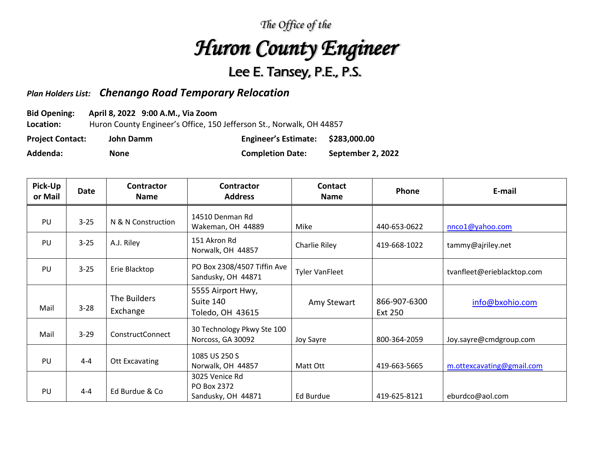## *The Office of the*

## *Huron County Engineer*

## Lee E. Tansey, P.E., P.S.

## *Plan Holders List: Chenango Road Temporary Relocation*

**Bid Opening: April 8, 2022 9:00 A.M., Via Zoom**

**Location:** Huron County Engineer's Office, 150 Jefferson St., Norwalk, OH 44857

| <b>Project Contact:</b> | John Damm | <b>Engineer's Estimate:</b> | \$283,000.00      |
|-------------------------|-----------|-----------------------------|-------------------|
| Addenda:                | None      | <b>Completion Date:</b>     | September 2, 2022 |

| Pick-Up<br>or Mail | Date     | <b>Contractor</b><br><b>Name</b> | <b>Contractor</b><br><b>Address</b>                 | Contact<br><b>Name</b> | Phone                   | E-mail                     |
|--------------------|----------|----------------------------------|-----------------------------------------------------|------------------------|-------------------------|----------------------------|
| PU                 | $3 - 25$ | N & N Construction               | 14510 Denman Rd<br>Wakeman, OH 44889                | Mike                   | 440-653-0622            | nnco1@yahoo.com            |
| PU                 | $3 - 25$ | A.J. Riley                       | 151 Akron Rd<br>Norwalk, OH 44857                   | Charlie Riley          | 419-668-1022            | tammy@ajriley.net          |
| PU                 | $3 - 25$ | Erie Blacktop                    | PO Box 2308/4507 Tiffin Ave<br>Sandusky, OH 44871   | <b>Tyler VanFleet</b>  |                         | tvanfleet@erieblacktop.com |
| Mail               | $3 - 28$ | The Builders<br>Exchange         | 5555 Airport Hwy,<br>Suite 140<br>Toledo, OH 43615  | Amy Stewart            | 866-907-6300<br>Ext 250 | info@bxohio.com            |
| Mail               | $3 - 29$ | ConstructConnect                 | 30 Technology Pkwy Ste 100<br>Norcoss, GA 30092     | Joy Sayre              | 800-364-2059            | Joy.sayre@cmdgroup.com     |
| PU                 | $4 - 4$  | Ott Excavating                   | 1085 US 250 S<br>Norwalk, OH 44857                  | Matt Ott               | 419-663-5665            | m.ottexcavating@gmail.com  |
| PU                 | $4 - 4$  | Ed Burdue & Co                   | 3025 Venice Rd<br>PO Box 2372<br>Sandusky, OH 44871 | Ed Burdue              | 419-625-8121            | eburdco@aol.com            |